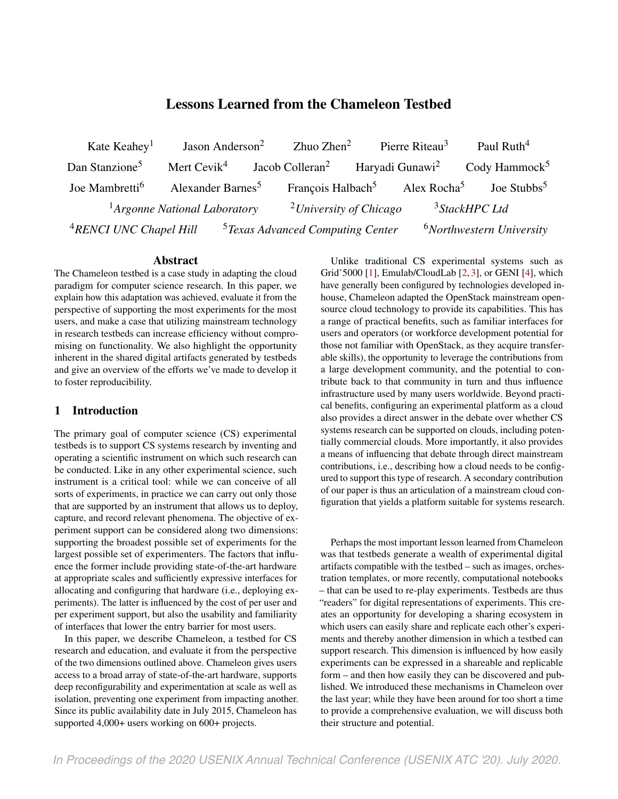# Lessons Learned from the Chameleon Testbed

Kate Keahev<sup>1</sup> Jason Anderson<sup>2</sup> Zhuo Zhen<sup>2</sup> Pierre Riteau<sup>3</sup> Paul Ruth<sup>4</sup> Dan Stanzione<sup>5</sup> Mert Cevik<sup>4</sup> Jacob Colleran<sup>2</sup> Haryadi Gunawi<sup>2</sup> Cody Hammock<sup>5</sup> Joe Mambretti<sup>6</sup> Alexander Barnes<sup>5</sup> François Halbach<sup>5</sup> Alex Rocha<sup>5</sup> Joe Stubbs<sup>5</sup> <sup>1</sup>Argonne National Laboratory <sup>2</sup>University of Chicago <sup>3</sup>StackHPC Ltd <sup>4</sup>RENCI UNC Chapel Hill <sup>5</sup> Texas Advanced Computing Center <sup>6</sup>Northwestern University

#### Abstract

The Chameleon testbed is a case study in adapting the cloud paradigm for computer science research. In this paper, we explain how this adaptation was achieved, evaluate it from the perspective of supporting the most experiments for the most users, and make a case that utilizing mainstream technology in research testbeds can increase efficiency without compromising on functionality. We also highlight the opportunity inherent in the shared digital artifacts generated by testbeds and give an overview of the efforts we've made to develop it to foster reproducibility.

# 1 Introduction

The primary goal of computer science (CS) experimental testbeds is to support CS systems research by inventing and operating a scientific instrument on which such research can be conducted. Like in any other experimental science, such instrument is a critical tool: while we can conceive of all sorts of experiments, in practice we can carry out only those that are supported by an instrument that allows us to deploy, capture, and record relevant phenomena. The objective of experiment support can be considered along two dimensions: supporting the broadest possible set of experiments for the largest possible set of experimenters. The factors that influence the former include providing state-of-the-art hardware at appropriate scales and sufficiently expressive interfaces for allocating and configuring that hardware (i.e., deploying experiments). The latter is influenced by the cost of per user and per experiment support, but also the usability and familiarity of interfaces that lower the entry barrier for most users.

In this paper, we describe Chameleon, a testbed for CS research and education, and evaluate it from the perspective of the two dimensions outlined above. Chameleon gives users access to a broad array of state-of-the-art hardware, supports deep reconfigurability and experimentation at scale as well as isolation, preventing one experiment from impacting another. Since its public availability date in July 2015, Chameleon has supported 4,000+ users working on 600+ projects.

Unlike traditional CS experimental systems such as Grid'5000 [\[1\]](#page-11-0), Emulab/CloudLab [\[2,](#page-11-1) [3\]](#page-11-2), or GENI [\[4\]](#page-11-3), which have generally been configured by technologies developed inhouse, Chameleon adapted the OpenStack mainstream opensource cloud technology to provide its capabilities. This has a range of practical benefits, such as familiar interfaces for users and operators (or workforce development potential for those not familiar with OpenStack, as they acquire transferable skills), the opportunity to leverage the contributions from a large development community, and the potential to contribute back to that community in turn and thus influence infrastructure used by many users worldwide. Beyond practical benefits, configuring an experimental platform as a cloud also provides a direct answer in the debate over whether CS systems research can be supported on clouds, including potentially commercial clouds. More importantly, it also provides a means of influencing that debate through direct mainstream contributions, i.e., describing how a cloud needs to be configured to support this type of research. A secondary contribution of our paper is thus an articulation of a mainstream cloud configuration that yields a platform suitable for systems research.

Perhaps the most important lesson learned from Chameleon was that testbeds generate a wealth of experimental digital artifacts compatible with the testbed – such as images, orchestration templates, or more recently, computational notebooks – that can be used to re-play experiments. Testbeds are thus "readers" for digital representations of experiments. This creates an opportunity for developing a sharing ecosystem in which users can easily share and replicate each other's experiments and thereby another dimension in which a testbed can support research. This dimension is influenced by how easily experiments can be expressed in a shareable and replicable form – and then how easily they can be discovered and published. We introduced these mechanisms in Chameleon over the last year; while they have been around for too short a time to provide a comprehensive evaluation, we will discuss both their structure and potential.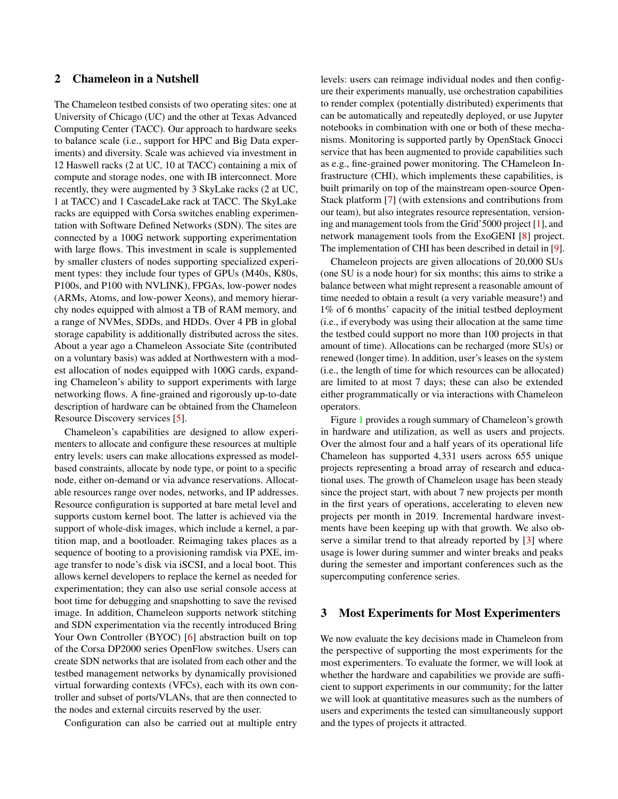# 2 Chameleon in a Nutshell

The Chameleon testbed consists of two operating sites: one at University of Chicago (UC) and the other at Texas Advanced Computing Center (TACC). Our approach to hardware seeks to balance scale (i.e., support for HPC and Big Data experiments) and diversity. Scale was achieved via investment in 12 Haswell racks (2 at UC, 10 at TACC) containing a mix of compute and storage nodes, one with IB interconnect. More recently, they were augmented by 3 SkyLake racks (2 at UC, 1 at TACC) and 1 CascadeLake rack at TACC. The SkyLake racks are equipped with Corsa switches enabling experimentation with Software Defined Networks (SDN). The sites are connected by a 100G network supporting experimentation with large flows. This investment in scale is supplemented by smaller clusters of nodes supporting specialized experiment types: they include four types of GPUs (M40s, K80s, P100s, and P100 with NVLINK), FPGAs, low-power nodes (ARMs, Atoms, and low-power Xeons), and memory hierarchy nodes equipped with almost a TB of RAM memory, and a range of NVMes, SDDs, and HDDs. Over 4 PB in global storage capability is additionally distributed across the sites. About a year ago a Chameleon Associate Site (contributed on a voluntary basis) was added at Northwestern with a modest allocation of nodes equipped with 100G cards, expanding Chameleon's ability to support experiments with large networking flows. A fine-grained and rigorously up-to-date description of hardware can be obtained from the Chameleon Resource Discovery services [\[5\]](#page-12-0).

Chameleon's capabilities are designed to allow experimenters to allocate and configure these resources at multiple entry levels: users can make allocations expressed as modelbased constraints, allocate by node type, or point to a specific node, either on-demand or via advance reservations. Allocatable resources range over nodes, networks, and IP addresses. Resource configuration is supported at bare metal level and supports custom kernel boot. The latter is achieved via the support of whole-disk images, which include a kernel, a partition map, and a bootloader. Reimaging takes places as a sequence of booting to a provisioning ramdisk via PXE, image transfer to node's disk via iSCSI, and a local boot. This allows kernel developers to replace the kernel as needed for experimentation; they can also use serial console access at boot time for debugging and snapshotting to save the revised image. In addition, Chameleon supports network stitching and SDN experimentation via the recently introduced Bring Your Own Controller (BYOC) [\[6\]](#page-12-1) abstraction built on top of the Corsa DP2000 series OpenFlow switches. Users can create SDN networks that are isolated from each other and the testbed management networks by dynamically provisioned virtual forwarding contexts (VFCs), each with its own controller and subset of ports/VLANs, that are then connected to the nodes and external circuits reserved by the user.

Configuration can also be carried out at multiple entry

levels: users can reimage individual nodes and then configure their experiments manually, use orchestration capabilities to render complex (potentially distributed) experiments that can be automatically and repeatedly deployed, or use Jupyter notebooks in combination with one or both of these mechanisms. Monitoring is supported partly by OpenStack Gnocci service that has been augmented to provide capabilities such as e.g., fine-grained power monitoring. The CHameleon Infrastructure (CHI), which implements these capabilities, is built primarily on top of the mainstream open-source Open-Stack platform [\[7\]](#page-12-2) (with extensions and contributions from our team), but also integrates resource representation, versioning and management tools from the Grid'5000 project [\[1\]](#page-11-0), and network management tools from the ExoGENI [\[8\]](#page-12-3) project. The implementation of CHI has been described in detail in [\[9\]](#page-12-4).

Chameleon projects are given allocations of 20,000 SUs (one SU is a node hour) for six months; this aims to strike a balance between what might represent a reasonable amount of time needed to obtain a result (a very variable measure!) and 1% of 6 months' capacity of the initial testbed deployment (i.e., if everybody was using their allocation at the same time the testbed could support no more than 100 projects in that amount of time). Allocations can be recharged (more SUs) or renewed (longer time). In addition, user's leases on the system (i.e., the length of time for which resources can be allocated) are limited to at most 7 days; these can also be extended either programmatically or via interactions with Chameleon operators.

Figure [1](#page-2-0) provides a rough summary of Chameleon's growth in hardware and utilization, as well as users and projects. Over the almost four and a half years of its operational life Chameleon has supported 4,331 users across 655 unique projects representing a broad array of research and educational uses. The growth of Chameleon usage has been steady since the project start, with about 7 new projects per month in the first years of operations, accelerating to eleven new projects per month in 2019. Incremental hardware investments have been keeping up with that growth. We also observe a similar trend to that already reported by [\[3\]](#page-11-2) where usage is lower during summer and winter breaks and peaks during the semester and important conferences such as the supercomputing conference series.

# 3 Most Experiments for Most Experimenters

We now evaluate the key decisions made in Chameleon from the perspective of supporting the most experiments for the most experimenters. To evaluate the former, we will look at whether the hardware and capabilities we provide are sufficient to support experiments in our community; for the latter we will look at quantitative measures such as the numbers of users and experiments the tested can simultaneously support and the types of projects it attracted.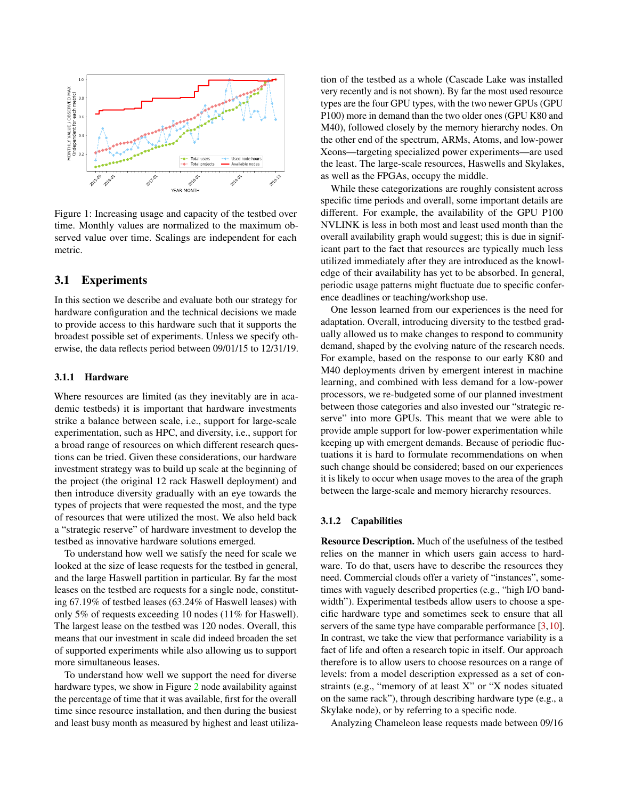

<span id="page-2-0"></span>Figure 1: Increasing usage and capacity of the testbed over time. Monthly values are normalized to the maximum observed value over time. Scalings are independent for each metric.

# 3.1 Experiments

In this section we describe and evaluate both our strategy for hardware configuration and the technical decisions we made to provide access to this hardware such that it supports the broadest possible set of experiments. Unless we specify otherwise, the data reflects period between 09/01/15 to 12/31/19.

#### 3.1.1 Hardware

Where resources are limited (as they inevitably are in academic testbeds) it is important that hardware investments strike a balance between scale, i.e., support for large-scale experimentation, such as HPC, and diversity, i.e., support for a broad range of resources on which different research questions can be tried. Given these considerations, our hardware investment strategy was to build up scale at the beginning of the project (the original 12 rack Haswell deployment) and then introduce diversity gradually with an eye towards the types of projects that were requested the most, and the type of resources that were utilized the most. We also held back a "strategic reserve" of hardware investment to develop the testbed as innovative hardware solutions emerged.

To understand how well we satisfy the need for scale we looked at the size of lease requests for the testbed in general, and the large Haswell partition in particular. By far the most leases on the testbed are requests for a single node, constituting 67.19% of testbed leases (63.24% of Haswell leases) with only 5% of requests exceeding 10 nodes (11% for Haswell). The largest lease on the testbed was 120 nodes. Overall, this means that our investment in scale did indeed broaden the set of supported experiments while also allowing us to support more simultaneous leases.

To understand how well we support the need for diverse hardware types, we show in Figure [2](#page-3-0) node availability against the percentage of time that it was available, first for the overall time since resource installation, and then during the busiest and least busy month as measured by highest and least utiliza-

tion of the testbed as a whole (Cascade Lake was installed very recently and is not shown). By far the most used resource types are the four GPU types, with the two newer GPUs (GPU P100) more in demand than the two older ones (GPU K80 and M40), followed closely by the memory hierarchy nodes. On the other end of the spectrum, ARMs, Atoms, and low-power Xeons—targeting specialized power experiments—are used the least. The large-scale resources, Haswells and Skylakes, as well as the FPGAs, occupy the middle.

While these categorizations are roughly consistent across specific time periods and overall, some important details are different. For example, the availability of the GPU P100 NVLINK is less in both most and least used month than the overall availability graph would suggest; this is due in significant part to the fact that resources are typically much less utilized immediately after they are introduced as the knowledge of their availability has yet to be absorbed. In general, periodic usage patterns might fluctuate due to specific conference deadlines or teaching/workshop use.

One lesson learned from our experiences is the need for adaptation. Overall, introducing diversity to the testbed gradually allowed us to make changes to respond to community demand, shaped by the evolving nature of the research needs. For example, based on the response to our early K80 and M40 deployments driven by emergent interest in machine learning, and combined with less demand for a low-power processors, we re-budgeted some of our planned investment between those categories and also invested our "strategic reserve" into more GPUs. This meant that we were able to provide ample support for low-power experimentation while keeping up with emergent demands. Because of periodic fluctuations it is hard to formulate recommendations on when such change should be considered; based on our experiences it is likely to occur when usage moves to the area of the graph between the large-scale and memory hierarchy resources.

#### 3.1.2 Capabilities

Resource Description. Much of the usefulness of the testbed relies on the manner in which users gain access to hardware. To do that, users have to describe the resources they need. Commercial clouds offer a variety of "instances", sometimes with vaguely described properties (e.g., "high I/O bandwidth"). Experimental testbeds allow users to choose a specific hardware type and sometimes seek to ensure that all servers of the same type have comparable performance [\[3,](#page-11-2)[10\]](#page-12-5). In contrast, we take the view that performance variability is a fact of life and often a research topic in itself. Our approach therefore is to allow users to choose resources on a range of levels: from a model description expressed as a set of constraints (e.g., "memory of at least X" or "X nodes situated on the same rack"), through describing hardware type (e.g., a Skylake node), or by referring to a specific node.

Analyzing Chameleon lease requests made between 09/16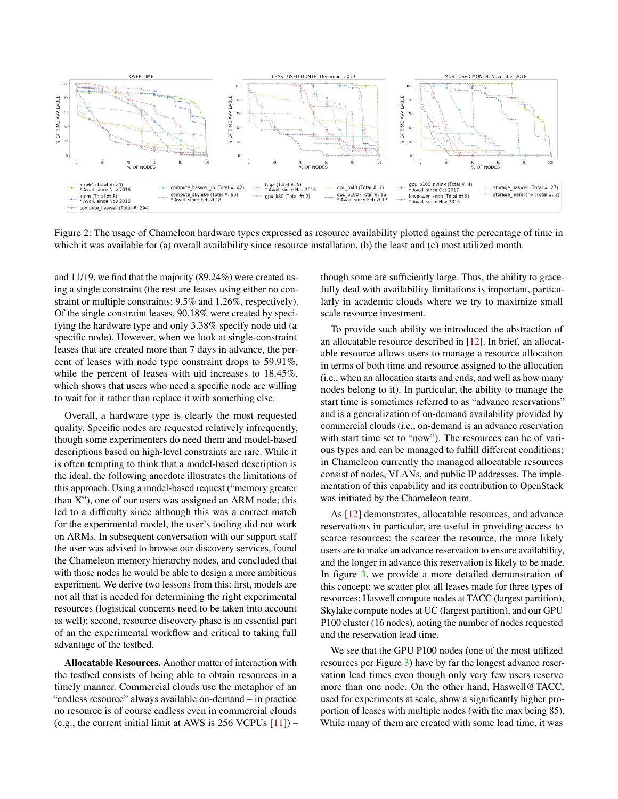

<span id="page-3-0"></span>Figure 2: The usage of Chameleon hardware types expressed as resource availability plotted against the percentage of time in which it was available for (a) overall availability since resource installation, (b) the least and (c) most utilized month.

and 11/19, we find that the majority (89.24%) were created using a single constraint (the rest are leases using either no constraint or multiple constraints; 9.5% and 1.26%, respectively). Of the single constraint leases, 90.18% were created by specifying the hardware type and only 3.38% specify node uid (a specific node). However, when we look at single-constraint leases that are created more than 7 days in advance, the percent of leases with node type constraint drops to 59.91%, while the percent of leases with uid increases to 18.45%, which shows that users who need a specific node are willing to wait for it rather than replace it with something else.

Overall, a hardware type is clearly the most requested quality. Specific nodes are requested relatively infrequently, though some experimenters do need them and model-based descriptions based on high-level constraints are rare. While it is often tempting to think that a model-based description is the ideal, the following anecdote illustrates the limitations of this approach. Using a model-based request ("memory greater than X"), one of our users was assigned an ARM node; this led to a difficulty since although this was a correct match for the experimental model, the user's tooling did not work on ARMs. In subsequent conversation with our support staff the user was advised to browse our discovery services, found the Chameleon memory hierarchy nodes, and concluded that with those nodes he would be able to design a more ambitious experiment. We derive two lessons from this: first, models are not all that is needed for determining the right experimental resources (logistical concerns need to be taken into account as well); second, resource discovery phase is an essential part of an the experimental workflow and critical to taking full advantage of the testbed.

Allocatable Resources. Another matter of interaction with the testbed consists of being able to obtain resources in a timely manner. Commercial clouds use the metaphor of an "endless resource" always available on-demand – in practice no resource is of course endless even in commercial clouds (e.g., the current initial limit at AWS is  $256$  VCPUs  $[11]$ ) – though some are sufficiently large. Thus, the ability to gracefully deal with availability limitations is important, particularly in academic clouds where we try to maximize small scale resource investment.

To provide such ability we introduced the abstraction of an allocatable resource described in [\[12\]](#page-12-7). In brief, an allocatable resource allows users to manage a resource allocation in terms of both time and resource assigned to the allocation (i.e., when an allocation starts and ends, and well as how many nodes belong to it). In particular, the ability to manage the start time is sometimes referred to as "advance reservations" and is a generalization of on-demand availability provided by commercial clouds (i.e., on-demand is an advance reservation with start time set to "now"). The resources can be of various types and can be managed to fulfill different conditions; in Chameleon currently the managed allocatable resources consist of nodes, VLANs, and public IP addresses. The implementation of this capability and its contribution to OpenStack was initiated by the Chameleon team.

As [\[12\]](#page-12-7) demonstrates, allocatable resources, and advance reservations in particular, are useful in providing access to scarce resources: the scarcer the resource, the more likely users are to make an advance reservation to ensure availability, and the longer in advance this reservation is likely to be made. In figure [3,](#page-4-0) we provide a more detailed demonstration of this concept: we scatter plot all leases made for three types of resources: Haswell compute nodes at TACC (largest partition), Skylake compute nodes at UC (largest partition), and our GPU P100 cluster (16 nodes), noting the number of nodes requested and the reservation lead time.

We see that the GPU P100 nodes (one of the most utilized resources per Figure [3\)](#page-4-0) have by far the longest advance reservation lead times even though only very few users reserve more than one node. On the other hand, Haswell@TACC, used for experiments at scale, show a significantly higher proportion of leases with multiple nodes (with the max being 85). While many of them are created with some lead time, it was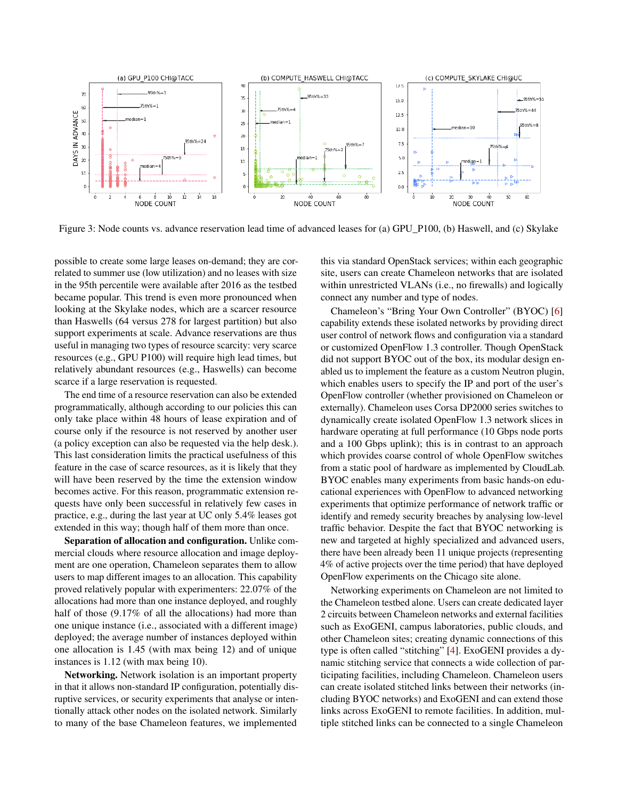

<span id="page-4-0"></span>Figure 3: Node counts vs. advance reservation lead time of advanced leases for (a) GPU\_P100, (b) Haswell, and (c) Skylake

possible to create some large leases on-demand; they are correlated to summer use (low utilization) and no leases with size in the 95th percentile were available after 2016 as the testbed became popular. This trend is even more pronounced when looking at the Skylake nodes, which are a scarcer resource than Haswells (64 versus 278 for largest partition) but also support experiments at scale. Advance reservations are thus useful in managing two types of resource scarcity: very scarce resources (e.g., GPU P100) will require high lead times, but relatively abundant resources (e.g., Haswells) can become scarce if a large reservation is requested.

The end time of a resource reservation can also be extended programmatically, although according to our policies this can only take place within 48 hours of lease expiration and of course only if the resource is not reserved by another user (a policy exception can also be requested via the help desk.). This last consideration limits the practical usefulness of this feature in the case of scarce resources, as it is likely that they will have been reserved by the time the extension window becomes active. For this reason, programmatic extension requests have only been successful in relatively few cases in practice, e.g., during the last year at UC only 5.4% leases got extended in this way; though half of them more than once.

Separation of allocation and configuration. Unlike commercial clouds where resource allocation and image deployment are one operation, Chameleon separates them to allow users to map different images to an allocation. This capability proved relatively popular with experimenters: 22.07% of the allocations had more than one instance deployed, and roughly half of those  $(9.17\%$  of all the allocations) had more than one unique instance (i.e., associated with a different image) deployed; the average number of instances deployed within one allocation is 1.45 (with max being 12) and of unique instances is 1.12 (with max being 10).

Networking. Network isolation is an important property in that it allows non-standard IP configuration, potentially disruptive services, or security experiments that analyse or intentionally attack other nodes on the isolated network. Similarly to many of the base Chameleon features, we implemented

this via standard OpenStack services; within each geographic site, users can create Chameleon networks that are isolated within unrestricted VLANs (i.e., no firewalls) and logically connect any number and type of nodes.

Chameleon's "Bring Your Own Controller" (BYOC) [\[6\]](#page-12-1) capability extends these isolated networks by providing direct user control of network flows and configuration via a standard or customized OpenFlow 1.3 controller. Though OpenStack did not support BYOC out of the box, its modular design enabled us to implement the feature as a custom Neutron plugin, which enables users to specify the IP and port of the user's OpenFlow controller (whether provisioned on Chameleon or externally). Chameleon uses Corsa DP2000 series switches to dynamically create isolated OpenFlow 1.3 network slices in hardware operating at full performance (10 Gbps node ports and a 100 Gbps uplink); this is in contrast to an approach which provides coarse control of whole OpenFlow switches from a static pool of hardware as implemented by CloudLab. BYOC enables many experiments from basic hands-on educational experiences with OpenFlow to advanced networking experiments that optimize performance of network traffic or identify and remedy security breaches by analysing low-level traffic behavior. Despite the fact that BYOC networking is new and targeted at highly specialized and advanced users, there have been already been 11 unique projects (representing 4% of active projects over the time period) that have deployed OpenFlow experiments on the Chicago site alone.

Networking experiments on Chameleon are not limited to the Chameleon testbed alone. Users can create dedicated layer 2 circuits between Chameleon networks and external facilities such as ExoGENI, campus laboratories, public clouds, and other Chameleon sites; creating dynamic connections of this type is often called "stitching" [\[4\]](#page-11-3). ExoGENI provides a dynamic stitching service that connects a wide collection of participating facilities, including Chameleon. Chameleon users can create isolated stitched links between their networks (including BYOC networks) and ExoGENI and can extend those links across ExoGENI to remote facilities. In addition, multiple stitched links can be connected to a single Chameleon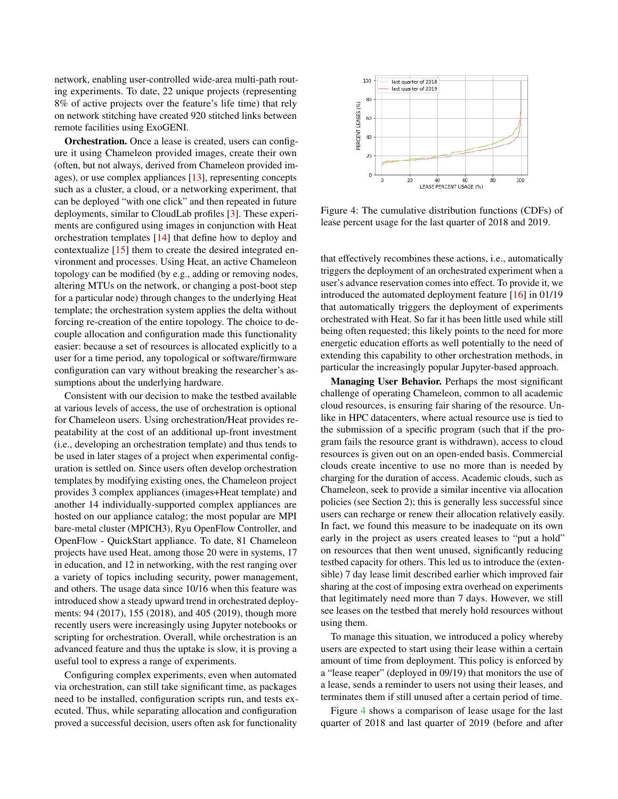network, enabling user-controlled wide-area multi-path routing experiments. To date, 22 unique projects (representing 8% of active projects over the feature's life time) that rely on network stitching have created 920 stitched links between remote facilities using ExoGENI.

Orchestration. Once a lease is created, users can configure it using Chameleon provided images, create their own (often, but not always, derived from Chameleon provided images), or use complex appliances [\[13\]](#page-12-8), representing concepts such as a cluster, a cloud, or a networking experiment, that can be deployed "with one click" and then repeated in future deployments, similar to CloudLab profiles [\[3\]](#page-11-2). These experiments are configured using images in conjunction with Heat orchestration templates [\[14\]](#page-12-9) that define how to deploy and contextualize [\[15\]](#page-12-10) them to create the desired integrated environment and processes. Using Heat, an active Chameleon topology can be modified (by e.g., adding or removing nodes, altering MTUs on the network, or changing a post-boot step for a particular node) through changes to the underlying Heat template; the orchestration system applies the delta without forcing re-creation of the entire topology. The choice to decouple allocation and configuration made this functionality easier: because a set of resources is allocated explicitly to a user for a time period, any topological or software/firmware configuration can vary without breaking the researcher's assumptions about the underlying hardware.

Consistent with our decision to make the testbed available at various levels of access, the use of orchestration is optional for Chameleon users. Using orchestration/Heat provides repeatability at the cost of an additional up-front investment (i.e., developing an orchestration template) and thus tends to be used in later stages of a project when experimental configuration is settled on. Since users often develop orchestration templates by modifying existing ones, the Chameleon project provides 3 complex appliances (images+Heat template) and another 14 individually-supported complex appliances are hosted on our appliance catalog; the most popular are MPI bare-metal cluster (MPICH3), Ryu OpenFlow Controller, and OpenFlow - QuickStart appliance. To date, 81 Chameleon projects have used Heat, among those 20 were in systems, 17 in education, and 12 in networking, with the rest ranging over a variety of topics including security, power management, and others. The usage data since 10/16 when this feature was introduced show a steady upward trend in orchestrated deployments: 94 (2017), 155 (2018), and 405 (2019), though more recently users were increasingly using Jupyter notebooks or scripting for orchestration. Overall, while orchestration is an advanced feature and thus the uptake is slow, it is proving a useful tool to express a range of experiments.

Configuring complex experiments, even when automated via orchestration, can still take significant time, as packages need to be installed, configuration scripts run, and tests executed. Thus, while separating allocation and configuration proved a successful decision, users often ask for functionality



<span id="page-5-0"></span>Figure 4: The cumulative distribution functions (CDFs) of lease percent usage for the last quarter of 2018 and 2019.

that effectively recombines these actions, i.e., automatically triggers the deployment of an orchestrated experiment when a user's advance reservation comes into effect. To provide it, we introduced the automated deployment feature [\[16\]](#page-12-11) in 01/19 that automatically triggers the deployment of experiments orchestrated with Heat. So far it has been little used while still being often requested; this likely points to the need for more energetic education efforts as well potentially to the need of extending this capability to other orchestration methods, in particular the increasingly popular Jupyter-based approach.

Managing User Behavior. Perhaps the most significant challenge of operating Chameleon, common to all academic cloud resources, is ensuring fair sharing of the resource. Unlike in HPC datacenters, where actual resource use is tied to the submission of a specific program (such that if the program fails the resource grant is withdrawn), access to cloud resources is given out on an open-ended basis. Commercial clouds create incentive to use no more than is needed by charging for the duration of access. Academic clouds, such as Chameleon, seek to provide a similar incentive via allocation policies (see Section 2); this is generally less successful since users can recharge or renew their allocation relatively easily. In fact, we found this measure to be inadequate on its own early in the project as users created leases to "put a hold" on resources that then went unused, significantly reducing testbed capacity for others. This led us to introduce the (extensible) 7 day lease limit described earlier which improved fair sharing at the cost of imposing extra overhead on experiments that legitimately need more than 7 days. However, we still see leases on the testbed that merely hold resources without using them.

To manage this situation, we introduced a policy whereby users are expected to start using their lease within a certain amount of time from deployment. This policy is enforced by a "lease reaper" (deployed in 09/19) that monitors the use of a lease, sends a reminder to users not using their leases, and terminates them if still unused after a certain period of time.

Figure [4](#page-5-0) shows a comparison of lease usage for the last quarter of 2018 and last quarter of 2019 (before and after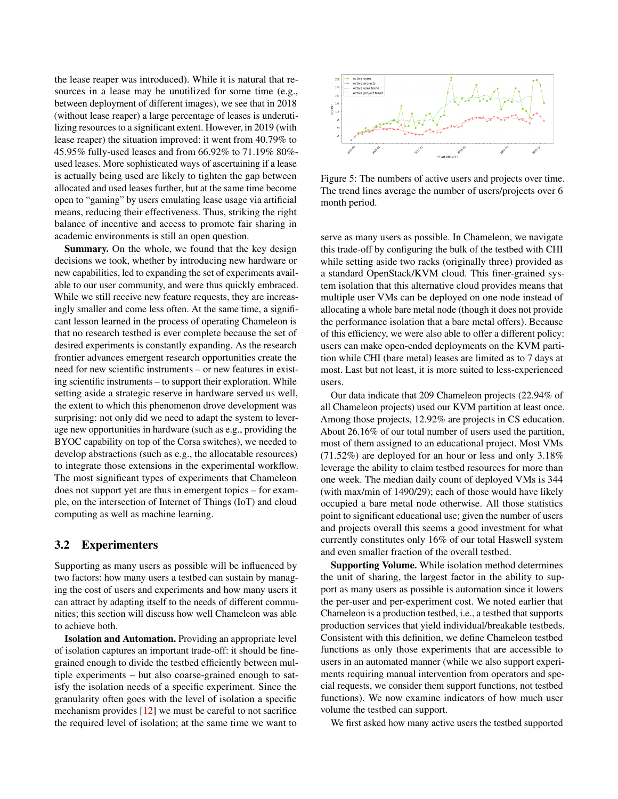the lease reaper was introduced). While it is natural that resources in a lease may be unutilized for some time (e.g., between deployment of different images), we see that in 2018 (without lease reaper) a large percentage of leases is underutilizing resources to a significant extent. However, in 2019 (with lease reaper) the situation improved: it went from 40.79% to 45.95% fully-used leases and from 66.92% to 71.19% 80% used leases. More sophisticated ways of ascertaining if a lease is actually being used are likely to tighten the gap between allocated and used leases further, but at the same time become open to "gaming" by users emulating lease usage via artificial means, reducing their effectiveness. Thus, striking the right balance of incentive and access to promote fair sharing in academic environments is still an open question.

Summary. On the whole, we found that the key design decisions we took, whether by introducing new hardware or new capabilities, led to expanding the set of experiments available to our user community, and were thus quickly embraced. While we still receive new feature requests, they are increasingly smaller and come less often. At the same time, a significant lesson learned in the process of operating Chameleon is that no research testbed is ever complete because the set of desired experiments is constantly expanding. As the research frontier advances emergent research opportunities create the need for new scientific instruments – or new features in existing scientific instruments – to support their exploration. While setting aside a strategic reserve in hardware served us well, the extent to which this phenomenon drove development was surprising: not only did we need to adapt the system to leverage new opportunities in hardware (such as e.g., providing the BYOC capability on top of the Corsa switches), we needed to develop abstractions (such as e.g., the allocatable resources) to integrate those extensions in the experimental workflow. The most significant types of experiments that Chameleon does not support yet are thus in emergent topics – for example, on the intersection of Internet of Things (IoT) and cloud computing as well as machine learning.

# 3.2 Experimenters

Supporting as many users as possible will be influenced by two factors: how many users a testbed can sustain by managing the cost of users and experiments and how many users it can attract by adapting itself to the needs of different communities; this section will discuss how well Chameleon was able to achieve both.

Isolation and Automation. Providing an appropriate level of isolation captures an important trade-off: it should be finegrained enough to divide the testbed efficiently between multiple experiments – but also coarse-grained enough to satisfy the isolation needs of a specific experiment. Since the granularity often goes with the level of isolation a specific mechanism provides [\[12\]](#page-12-7) we must be careful to not sacrifice the required level of isolation; at the same time we want to



<span id="page-6-0"></span>Figure 5: The numbers of active users and projects over time. The trend lines average the number of users/projects over 6 month period.

serve as many users as possible. In Chameleon, we navigate this trade-off by configuring the bulk of the testbed with CHI while setting aside two racks (originally three) provided as a standard OpenStack/KVM cloud. This finer-grained system isolation that this alternative cloud provides means that multiple user VMs can be deployed on one node instead of allocating a whole bare metal node (though it does not provide the performance isolation that a bare metal offers). Because of this efficiency, we were also able to offer a different policy: users can make open-ended deployments on the KVM partition while CHI (bare metal) leases are limited as to 7 days at most. Last but not least, it is more suited to less-experienced users.

Our data indicate that 209 Chameleon projects (22.94% of all Chameleon projects) used our KVM partition at least once. Among those projects, 12.92% are projects in CS education. About 26.16% of our total number of users used the partition, most of them assigned to an educational project. Most VMs (71.52%) are deployed for an hour or less and only 3.18% leverage the ability to claim testbed resources for more than one week. The median daily count of deployed VMs is 344 (with max/min of 1490/29); each of those would have likely occupied a bare metal node otherwise. All those statistics point to significant educational use; given the number of users and projects overall this seems a good investment for what currently constitutes only 16% of our total Haswell system and even smaller fraction of the overall testbed.

Supporting Volume. While isolation method determines the unit of sharing, the largest factor in the ability to support as many users as possible is automation since it lowers the per-user and per-experiment cost. We noted earlier that Chameleon is a production testbed, i.e., a testbed that supports production services that yield individual/breakable testbeds. Consistent with this definition, we define Chameleon testbed functions as only those experiments that are accessible to users in an automated manner (while we also support experiments requiring manual intervention from operators and special requests, we consider them support functions, not testbed functions). We now examine indicators of how much user volume the testbed can support.

We first asked how many active users the testbed supported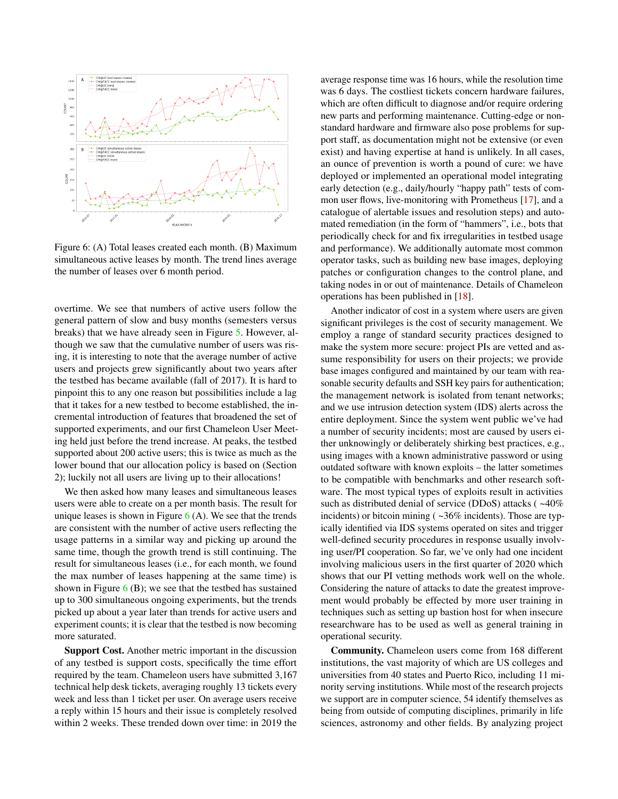

<span id="page-7-0"></span>Figure 6: (A) Total leases created each month. (B) Maximum simultaneous active leases by month. The trend lines average the number of leases over 6 month period.

overtime. We see that numbers of active users follow the general pattern of slow and busy months (semesters versus breaks) that we have already seen in Figure [5.](#page-6-0) However, although we saw that the cumulative number of users was rising, it is interesting to note that the average number of active users and projects grew significantly about two years after the testbed has became available (fall of 2017). It is hard to pinpoint this to any one reason but possibilities include a lag that it takes for a new testbed to become established, the incremental introduction of features that broadened the set of supported experiments, and our first Chameleon User Meeting held just before the trend increase. At peaks, the testbed supported about 200 active users; this is twice as much as the lower bound that our allocation policy is based on (Section 2); luckily not all users are living up to their allocations!

We then asked how many leases and simultaneous leases users were able to create on a per month basis. The result for unique leases is shown in Figure  $6(A)$  $6(A)$ . We see that the trends are consistent with the number of active users reflecting the usage patterns in a similar way and picking up around the same time, though the growth trend is still continuing. The result for simultaneous leases (i.e., for each month, we found the max number of leases happening at the same time) is shown in Figure  $6$  (B); we see that the testbed has sustained up to 300 simultaneous ongoing experiments, but the trends picked up about a year later than trends for active users and experiment counts; it is clear that the testbed is now becoming more saturated.

Support Cost. Another metric important in the discussion of any testbed is support costs, specifically the time effort required by the team. Chameleon users have submitted 3,167 technical help desk tickets, averaging roughly 13 tickets every week and less than 1 ticket per user. On average users receive a reply within 15 hours and their issue is completely resolved within 2 weeks. These trended down over time: in 2019 the

average response time was 16 hours, while the resolution time was 6 days. The costliest tickets concern hardware failures, which are often difficult to diagnose and/or require ordering new parts and performing maintenance. Cutting-edge or nonstandard hardware and firmware also pose problems for support staff, as documentation might not be extensive (or even exist) and having expertise at hand is unlikely. In all cases, an ounce of prevention is worth a pound of cure: we have deployed or implemented an operational model integrating early detection (e.g., daily/hourly "happy path" tests of common user flows, live-monitoring with Prometheus [\[17\]](#page-12-12), and a catalogue of alertable issues and resolution steps) and automated remediation (in the form of "hammers", i.e., bots that periodically check for and fix irregularities in testbed usage and performance). We additionally automate most common operator tasks, such as building new base images, deploying patches or configuration changes to the control plane, and taking nodes in or out of maintenance. Details of Chameleon operations has been published in [\[18\]](#page-12-13).

Another indicator of cost in a system where users are given significant privileges is the cost of security management. We employ a range of standard security practices designed to make the system more secure: project PIs are vetted and assume responsibility for users on their projects; we provide base images configured and maintained by our team with reasonable security defaults and SSH key pairs for authentication; the management network is isolated from tenant networks; and we use intrusion detection system (IDS) alerts across the entire deployment. Since the system went public we've had a number of security incidents; most are caused by users either unknowingly or deliberately shirking best practices, e.g., using images with a known administrative password or using outdated software with known exploits – the latter sometimes to be compatible with benchmarks and other research software. The most typical types of exploits result in activities such as distributed denial of service (DDoS) attacks ( $\sim$ 40% incidents) or bitcoin mining ( $\sim$ 36% incidents). Those are typically identified via IDS systems operated on sites and trigger well-defined security procedures in response usually involving user/PI cooperation. So far, we've only had one incident involving malicious users in the first quarter of 2020 which shows that our PI vetting methods work well on the whole. Considering the nature of attacks to date the greatest improvement would probably be effected by more user training in techniques such as setting up bastion host for when insecure researchware has to be used as well as general training in operational security.

Community. Chameleon users come from 168 different institutions, the vast majority of which are US colleges and universities from 40 states and Puerto Rico, including 11 minority serving institutions. While most of the research projects we support are in computer science, 54 identify themselves as being from outside of computing disciplines, primarily in life sciences, astronomy and other fields. By analyzing project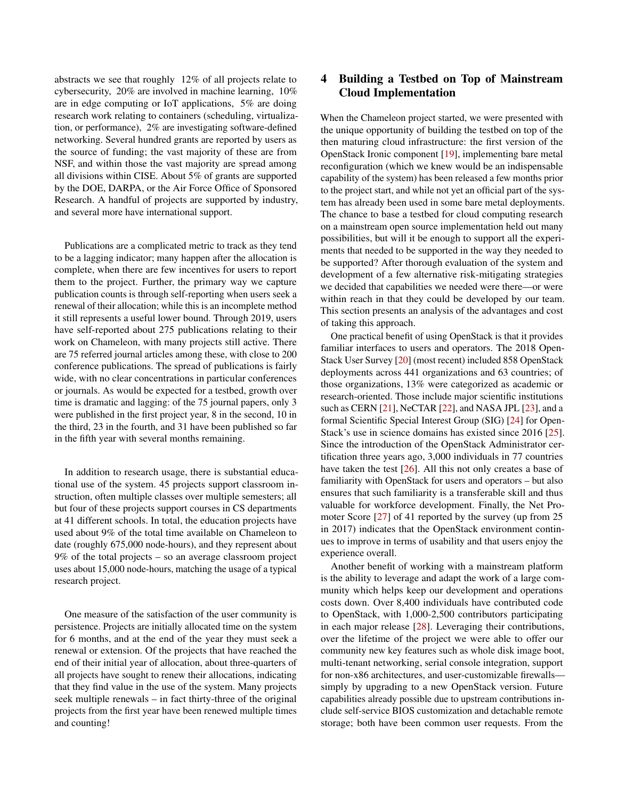abstracts we see that roughly 12% of all projects relate to cybersecurity, 20% are involved in machine learning, 10% are in edge computing or IoT applications, 5% are doing research work relating to containers (scheduling, virtualization, or performance), 2% are investigating software-defined networking. Several hundred grants are reported by users as the source of funding; the vast majority of these are from NSF, and within those the vast majority are spread among all divisions within CISE. About 5% of grants are supported by the DOE, DARPA, or the Air Force Office of Sponsored Research. A handful of projects are supported by industry, and several more have international support.

Publications are a complicated metric to track as they tend to be a lagging indicator; many happen after the allocation is complete, when there are few incentives for users to report them to the project. Further, the primary way we capture publication counts is through self-reporting when users seek a renewal of their allocation; while this is an incomplete method it still represents a useful lower bound. Through 2019, users have self-reported about 275 publications relating to their work on Chameleon, with many projects still active. There are 75 referred journal articles among these, with close to 200 conference publications. The spread of publications is fairly wide, with no clear concentrations in particular conferences or journals. As would be expected for a testbed, growth over time is dramatic and lagging: of the 75 journal papers, only 3 were published in the first project year, 8 in the second, 10 in the third, 23 in the fourth, and 31 have been published so far in the fifth year with several months remaining.

In addition to research usage, there is substantial educational use of the system. 45 projects support classroom instruction, often multiple classes over multiple semesters; all but four of these projects support courses in CS departments at 41 different schools. In total, the education projects have used about 9% of the total time available on Chameleon to date (roughly 675,000 node-hours), and they represent about 9% of the total projects – so an average classroom project uses about 15,000 node-hours, matching the usage of a typical research project.

One measure of the satisfaction of the user community is persistence. Projects are initially allocated time on the system for 6 months, and at the end of the year they must seek a renewal or extension. Of the projects that have reached the end of their initial year of allocation, about three-quarters of all projects have sought to renew their allocations, indicating that they find value in the use of the system. Many projects seek multiple renewals – in fact thirty-three of the original projects from the first year have been renewed multiple times and counting!

# 4 Building a Testbed on Top of Mainstream Cloud Implementation

When the Chameleon project started, we were presented with the unique opportunity of building the testbed on top of the then maturing cloud infrastructure: the first version of the OpenStack Ironic component [\[19\]](#page-12-14), implementing bare metal reconfiguration (which we knew would be an indispensable capability of the system) has been released a few months prior to the project start, and while not yet an official part of the system has already been used in some bare metal deployments. The chance to base a testbed for cloud computing research on a mainstream open source implementation held out many possibilities, but will it be enough to support all the experiments that needed to be supported in the way they needed to be supported? After thorough evaluation of the system and development of a few alternative risk-mitigating strategies we decided that capabilities we needed were there—or were within reach in that they could be developed by our team. This section presents an analysis of the advantages and cost of taking this approach.

One practical benefit of using OpenStack is that it provides familiar interfaces to users and operators. The 2018 Open-Stack User Survey [\[20\]](#page-12-15) (most recent) included 858 OpenStack deployments across 441 organizations and 63 countries; of those organizations, 13% were categorized as academic or research-oriented. Those include major scientific institutions such as CERN [\[21\]](#page-12-16), NeCTAR [\[22\]](#page-12-17), and NASA JPL [\[23\]](#page-12-18), and a formal Scientific Special Interest Group (SIG) [\[24\]](#page-12-19) for Open-Stack's use in science domains has existed since 2016 [\[25\]](#page-12-20). Since the introduction of the OpenStack Administrator certification three years ago, 3,000 individuals in 77 countries have taken the test [\[26\]](#page-12-21). All this not only creates a base of familiarity with OpenStack for users and operators – but also ensures that such familiarity is a transferable skill and thus valuable for workforce development. Finally, the Net Promoter Score [\[27\]](#page-12-22) of 41 reported by the survey (up from 25 in 2017) indicates that the OpenStack environment continues to improve in terms of usability and that users enjoy the experience overall.

Another benefit of working with a mainstream platform is the ability to leverage and adapt the work of a large community which helps keep our development and operations costs down. Over 8,400 individuals have contributed code to OpenStack, with 1,000-2,500 contributors participating in each major release [\[28\]](#page-12-23). Leveraging their contributions, over the lifetime of the project we were able to offer our community new key features such as whole disk image boot, multi-tenant networking, serial console integration, support for non-x86 architectures, and user-customizable firewalls simply by upgrading to a new OpenStack version. Future capabilities already possible due to upstream contributions include self-service BIOS customization and detachable remote storage; both have been common user requests. From the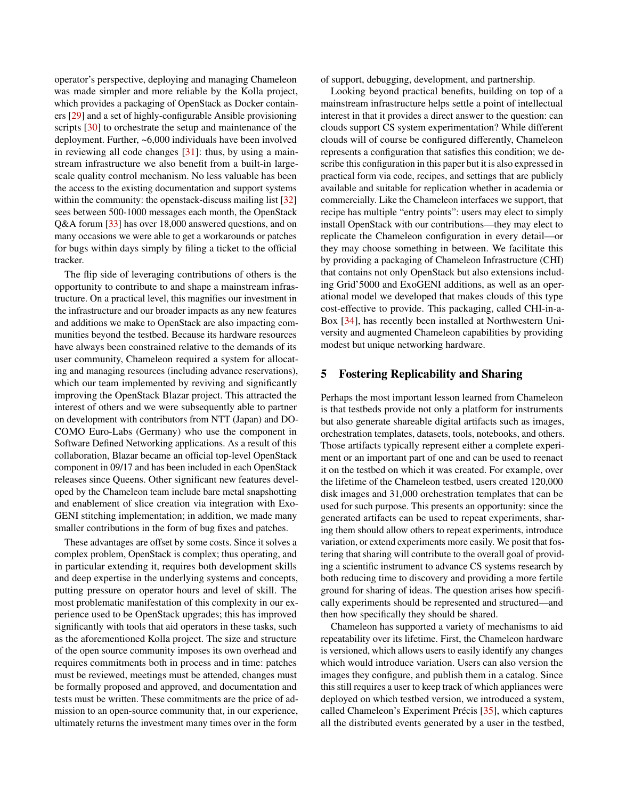operator's perspective, deploying and managing Chameleon was made simpler and more reliable by the Kolla project, which provides a packaging of OpenStack as Docker containers [\[29\]](#page-12-24) and a set of highly-configurable Ansible provisioning scripts [\[30\]](#page-13-0) to orchestrate the setup and maintenance of the deployment. Further, ~6,000 individuals have been involved in reviewing all code changes [\[31\]](#page-13-1): thus, by using a mainstream infrastructure we also benefit from a built-in largescale quality control mechanism. No less valuable has been the access to the existing documentation and support systems within the community: the openstack-discuss mailing list [\[32\]](#page-13-2) sees between 500-1000 messages each month, the OpenStack Q&A forum [\[33\]](#page-13-3) has over 18,000 answered questions, and on many occasions we were able to get a workarounds or patches for bugs within days simply by filing a ticket to the official tracker.

The flip side of leveraging contributions of others is the opportunity to contribute to and shape a mainstream infrastructure. On a practical level, this magnifies our investment in the infrastructure and our broader impacts as any new features and additions we make to OpenStack are also impacting communities beyond the testbed. Because its hardware resources have always been constrained relative to the demands of its user community, Chameleon required a system for allocating and managing resources (including advance reservations), which our team implemented by reviving and significantly improving the OpenStack Blazar project. This attracted the interest of others and we were subsequently able to partner on development with contributors from NTT (Japan) and DO-COMO Euro-Labs (Germany) who use the component in Software Defined Networking applications. As a result of this collaboration, Blazar became an official top-level OpenStack component in 09/17 and has been included in each OpenStack releases since Queens. Other significant new features developed by the Chameleon team include bare metal snapshotting and enablement of slice creation via integration with Exo-GENI stitching implementation; in addition, we made many smaller contributions in the form of bug fixes and patches.

These advantages are offset by some costs. Since it solves a complex problem, OpenStack is complex; thus operating, and in particular extending it, requires both development skills and deep expertise in the underlying systems and concepts, putting pressure on operator hours and level of skill. The most problematic manifestation of this complexity in our experience used to be OpenStack upgrades; this has improved significantly with tools that aid operators in these tasks, such as the aforementioned Kolla project. The size and structure of the open source community imposes its own overhead and requires commitments both in process and in time: patches must be reviewed, meetings must be attended, changes must be formally proposed and approved, and documentation and tests must be written. These commitments are the price of admission to an open-source community that, in our experience, ultimately returns the investment many times over in the form

of support, debugging, development, and partnership.

Looking beyond practical benefits, building on top of a mainstream infrastructure helps settle a point of intellectual interest in that it provides a direct answer to the question: can clouds support CS system experimentation? While different clouds will of course be configured differently, Chameleon represents a configuration that satisfies this condition; we describe this configuration in this paper but it is also expressed in practical form via code, recipes, and settings that are publicly available and suitable for replication whether in academia or commercially. Like the Chameleon interfaces we support, that recipe has multiple "entry points": users may elect to simply install OpenStack with our contributions—they may elect to replicate the Chameleon configuration in every detail—or they may choose something in between. We facilitate this by providing a packaging of Chameleon Infrastructure (CHI) that contains not only OpenStack but also extensions including Grid'5000 and ExoGENI additions, as well as an operational model we developed that makes clouds of this type cost-effective to provide. This packaging, called CHI-in-a-Box [\[34\]](#page-13-4), has recently been installed at Northwestern University and augmented Chameleon capabilities by providing modest but unique networking hardware.

# 5 Fostering Replicability and Sharing

Perhaps the most important lesson learned from Chameleon is that testbeds provide not only a platform for instruments but also generate shareable digital artifacts such as images, orchestration templates, datasets, tools, notebooks, and others. Those artifacts typically represent either a complete experiment or an important part of one and can be used to reenact it on the testbed on which it was created. For example, over the lifetime of the Chameleon testbed, users created 120,000 disk images and 31,000 orchestration templates that can be used for such purpose. This presents an opportunity: since the generated artifacts can be used to repeat experiments, sharing them should allow others to repeat experiments, introduce variation, or extend experiments more easily. We posit that fostering that sharing will contribute to the overall goal of providing a scientific instrument to advance CS systems research by both reducing time to discovery and providing a more fertile ground for sharing of ideas. The question arises how specifically experiments should be represented and structured—and then how specifically they should be shared.

Chameleon has supported a variety of mechanisms to aid repeatability over its lifetime. First, the Chameleon hardware is versioned, which allows users to easily identify any changes which would introduce variation. Users can also version the images they configure, and publish them in a catalog. Since this still requires a user to keep track of which appliances were deployed on which testbed version, we introduced a system, called Chameleon's Experiment Précis [\[35\]](#page-13-5), which captures all the distributed events generated by a user in the testbed,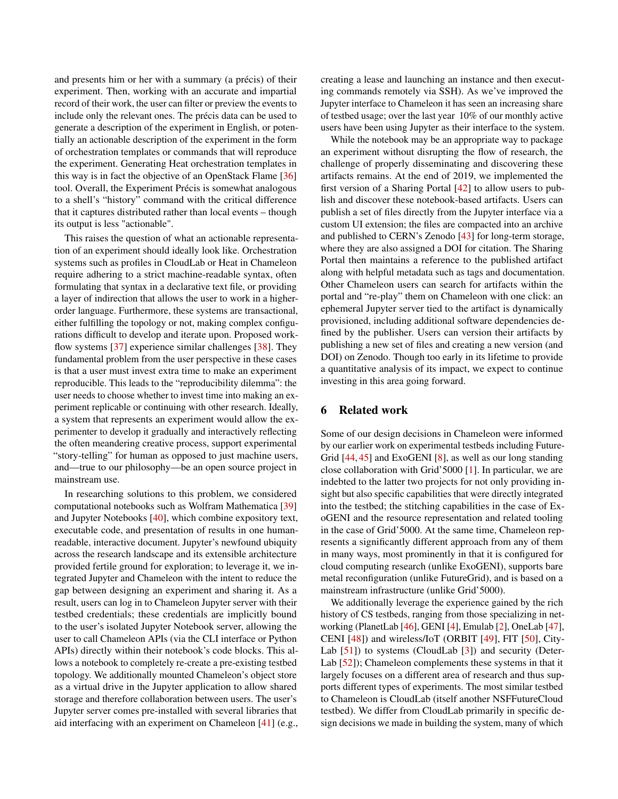and presents him or her with a summary (a précis) of their experiment. Then, working with an accurate and impartial record of their work, the user can filter or preview the events to include only the relevant ones. The précis data can be used to generate a description of the experiment in English, or potentially an actionable description of the experiment in the form of orchestration templates or commands that will reproduce the experiment. Generating Heat orchestration templates in this way is in fact the objective of an OpenStack Flame [\[36\]](#page-13-6) tool. Overall, the Experiment Précis is somewhat analogous to a shell's "history" command with the critical difference that it captures distributed rather than local events – though its output is less "actionable".

This raises the question of what an actionable representation of an experiment should ideally look like. Orchestration systems such as profiles in CloudLab or Heat in Chameleon require adhering to a strict machine-readable syntax, often formulating that syntax in a declarative text file, or providing a layer of indirection that allows the user to work in a higherorder language. Furthermore, these systems are transactional, either fulfilling the topology or not, making complex configurations difficult to develop and iterate upon. Proposed work-flow systems [\[37\]](#page-13-7) experience similar challenges [\[38\]](#page-13-8). They fundamental problem from the user perspective in these cases is that a user must invest extra time to make an experiment reproducible. This leads to the "reproducibility dilemma": the user needs to choose whether to invest time into making an experiment replicable or continuing with other research. Ideally, a system that represents an experiment would allow the experimenter to develop it gradually and interactively reflecting the often meandering creative process, support experimental "story-telling" for human as opposed to just machine users, and—true to our philosophy—be an open source project in mainstream use.

In researching solutions to this problem, we considered computational notebooks such as Wolfram Mathematica [\[39\]](#page-13-9) and Jupyter Notebooks [\[40\]](#page-13-10), which combine expository text, executable code, and presentation of results in one humanreadable, interactive document. Jupyter's newfound ubiquity across the research landscape and its extensible architecture provided fertile ground for exploration; to leverage it, we integrated Jupyter and Chameleon with the intent to reduce the gap between designing an experiment and sharing it. As a result, users can log in to Chameleon Jupyter server with their testbed credentials; these credentials are implicitly bound to the user's isolated Jupyter Notebook server, allowing the user to call Chameleon APIs (via the CLI interface or Python APIs) directly within their notebook's code blocks. This allows a notebook to completely re-create a pre-existing testbed topology. We additionally mounted Chameleon's object store as a virtual drive in the Jupyter application to allow shared storage and therefore collaboration between users. The user's Jupyter server comes pre-installed with several libraries that aid interfacing with an experiment on Chameleon [\[41\]](#page-13-11) (e.g., creating a lease and launching an instance and then executing commands remotely via SSH). As we've improved the Jupyter interface to Chameleon it has seen an increasing share of testbed usage; over the last year 10% of our monthly active users have been using Jupyter as their interface to the system.

While the notebook may be an appropriate way to package an experiment without disrupting the flow of research, the challenge of properly disseminating and discovering these artifacts remains. At the end of 2019, we implemented the first version of a Sharing Portal [\[42\]](#page-13-12) to allow users to publish and discover these notebook-based artifacts. Users can publish a set of files directly from the Jupyter interface via a custom UI extension; the files are compacted into an archive and published to CERN's Zenodo [\[43\]](#page-13-13) for long-term storage, where they are also assigned a DOI for citation. The Sharing Portal then maintains a reference to the published artifact along with helpful metadata such as tags and documentation. Other Chameleon users can search for artifacts within the portal and "re-play" them on Chameleon with one click: an ephemeral Jupyter server tied to the artifact is dynamically provisioned, including additional software dependencies defined by the publisher. Users can version their artifacts by publishing a new set of files and creating a new version (and DOI) on Zenodo. Though too early in its lifetime to provide a quantitative analysis of its impact, we expect to continue investing in this area going forward.

# 6 Related work

Some of our design decisions in Chameleon were informed by our earlier work on experimental testbeds including Future-Grid [\[44,](#page-13-14) [45\]](#page-13-15) and ExoGENI [\[8\]](#page-12-3), as well as our long standing close collaboration with Grid'5000 [\[1\]](#page-11-0). In particular, we are indebted to the latter two projects for not only providing insight but also specific capabilities that were directly integrated into the testbed; the stitching capabilities in the case of ExoGENI and the resource representation and related tooling in the case of Grid'5000. At the same time, Chameleon represents a significantly different approach from any of them in many ways, most prominently in that it is configured for cloud computing research (unlike ExoGENI), supports bare metal reconfiguration (unlike FutureGrid), and is based on a mainstream infrastructure (unlike Grid'5000).

We additionally leverage the experience gained by the rich history of CS testbeds, ranging from those specializing in networking (PlanetLab [\[46\]](#page-13-16), GENI [\[4\]](#page-11-3), Emulab [\[2\]](#page-11-1), OneLab [\[47\]](#page-13-17), CENI [\[48\]](#page-13-18)) and wireless/IoT (ORBIT [\[49\]](#page-13-19), FIT [\[50\]](#page-13-20), City-Lab [\[51\]](#page-13-21)) to systems (CloudLab [\[3\]](#page-11-2)) and security (Deter-Lab [\[52\]](#page-13-22)); Chameleon complements these systems in that it largely focuses on a different area of research and thus supports different types of experiments. The most similar testbed to Chameleon is CloudLab (itself another NSFFutureCloud testbed). We differ from CloudLab primarily in specific design decisions we made in building the system, many of which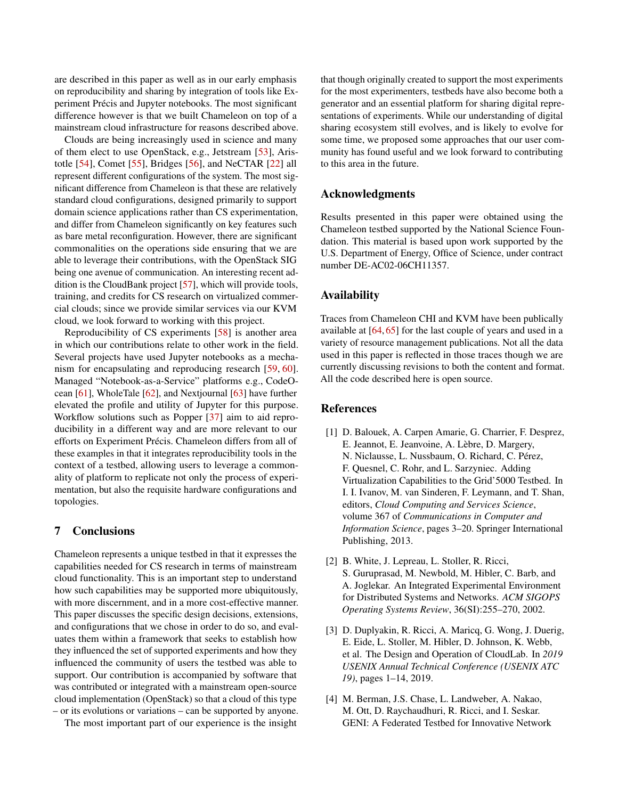are described in this paper as well as in our early emphasis on reproducibility and sharing by integration of tools like Experiment Précis and Jupyter notebooks. The most significant difference however is that we built Chameleon on top of a mainstream cloud infrastructure for reasons described above.

Clouds are being increasingly used in science and many of them elect to use OpenStack, e.g., Jetstream [\[53\]](#page-13-23), Aristotle [\[54\]](#page-14-0), Comet [\[55\]](#page-14-1), Bridges [\[56\]](#page-14-2), and NeCTAR [\[22\]](#page-12-17) all represent different configurations of the system. The most significant difference from Chameleon is that these are relatively standard cloud configurations, designed primarily to support domain science applications rather than CS experimentation, and differ from Chameleon significantly on key features such as bare metal reconfiguration. However, there are significant commonalities on the operations side ensuring that we are able to leverage their contributions, with the OpenStack SIG being one avenue of communication. An interesting recent addition is the CloudBank project [\[57\]](#page-14-3), which will provide tools, training, and credits for CS research on virtualized commercial clouds; since we provide similar services via our KVM cloud, we look forward to working with this project.

Reproducibility of CS experiments [\[58\]](#page-14-4) is another area in which our contributions relate to other work in the field. Several projects have used Jupyter notebooks as a mechanism for encapsulating and reproducing research [\[59,](#page-14-5) [60\]](#page-14-6). Managed "Notebook-as-a-Service" platforms e.g., CodeOcean [\[61\]](#page-14-7), WholeTale [\[62\]](#page-14-8), and Nextjournal [\[63\]](#page-14-9) have further elevated the profile and utility of Jupyter for this purpose. Workflow solutions such as Popper [\[37\]](#page-13-7) aim to aid reproducibility in a different way and are more relevant to our efforts on Experiment Précis. Chameleon differs from all of these examples in that it integrates reproducibility tools in the context of a testbed, allowing users to leverage a commonality of platform to replicate not only the process of experimentation, but also the requisite hardware configurations and topologies.

# 7 Conclusions

Chameleon represents a unique testbed in that it expresses the capabilities needed for CS research in terms of mainstream cloud functionality. This is an important step to understand how such capabilities may be supported more ubiquitously, with more discernment, and in a more cost-effective manner. This paper discusses the specific design decisions, extensions, and configurations that we chose in order to do so, and evaluates them within a framework that seeks to establish how they influenced the set of supported experiments and how they influenced the community of users the testbed was able to support. Our contribution is accompanied by software that was contributed or integrated with a mainstream open-source cloud implementation (OpenStack) so that a cloud of this type – or its evolutions or variations – can be supported by anyone.

The most important part of our experience is the insight

that though originally created to support the most experiments for the most experimenters, testbeds have also become both a generator and an essential platform for sharing digital representations of experiments. While our understanding of digital sharing ecosystem still evolves, and is likely to evolve for some time, we proposed some approaches that our user community has found useful and we look forward to contributing to this area in the future.

# Acknowledgments

Results presented in this paper were obtained using the Chameleon testbed supported by the National Science Foundation. This material is based upon work supported by the U.S. Department of Energy, Office of Science, under contract number DE-AC02-06CH11357.

# Availability

Traces from Chameleon CHI and KVM have been publically available at [\[64,](#page-14-10) [65\]](#page-14-11) for the last couple of years and used in a variety of resource management publications. Not all the data used in this paper is reflected in those traces though we are currently discussing revisions to both the content and format. All the code described here is open source.

# References

- <span id="page-11-0"></span>[1] D. Balouek, A. Carpen Amarie, G. Charrier, F. Desprez, E. Jeannot, E. Jeanvoine, A. Lèbre, D. Margery, N. Niclausse, L. Nussbaum, O. Richard, C. Pérez, F. Quesnel, C. Rohr, and L. Sarzyniec. Adding Virtualization Capabilities to the Grid'5000 Testbed. In I. I. Ivanov, M. van Sinderen, F. Leymann, and T. Shan, editors, *Cloud Computing and Services Science*, volume 367 of *Communications in Computer and Information Science*, pages 3–20. Springer International Publishing, 2013.
- <span id="page-11-1"></span>[2] B. White, J. Lepreau, L. Stoller, R. Ricci, S. Guruprasad, M. Newbold, M. Hibler, C. Barb, and A. Joglekar. An Integrated Experimental Environment for Distributed Systems and Networks. *ACM SIGOPS Operating Systems Review*, 36(SI):255–270, 2002.
- <span id="page-11-2"></span>[3] D. Duplyakin, R. Ricci, A. Maricq, G. Wong, J. Duerig, E. Eide, L. Stoller, M. Hibler, D. Johnson, K. Webb, et al. The Design and Operation of CloudLab. In *2019 USENIX Annual Technical Conference (USENIX ATC 19)*, pages 1–14, 2019.
- <span id="page-11-3"></span>[4] M. Berman, J.S. Chase, L. Landweber, A. Nakao, M. Ott, D. Raychaudhuri, R. Ricci, and I. Seskar. GENI: A Federated Testbed for Innovative Network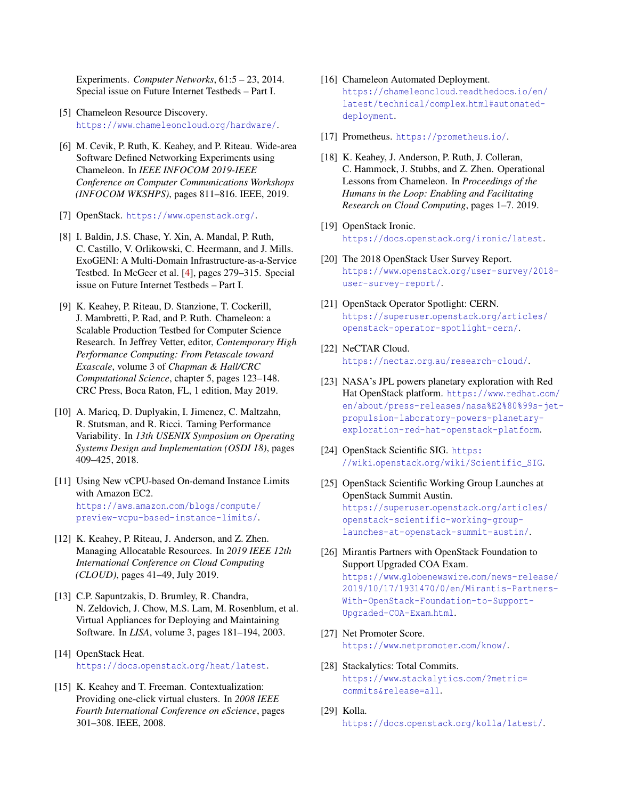Experiments. *Computer Networks*, 61:5 – 23, 2014. Special issue on Future Internet Testbeds – Part I.

- <span id="page-12-0"></span>[5] Chameleon Resource Discovery. https://www.[chameleoncloud](https://www.chameleoncloud.org/hardware/).org/hardware/.
- <span id="page-12-1"></span>[6] M. Cevik, P. Ruth, K. Keahey, and P. Riteau. Wide-area Software Defined Networking Experiments using Chameleon. In *IEEE INFOCOM 2019-IEEE Conference on Computer Communications Workshops (INFOCOM WKSHPS)*, pages 811–816. IEEE, 2019.
- <span id="page-12-2"></span>[7] OpenStack. [https://www](https://www.openstack.org/).openstack.org/.
- <span id="page-12-3"></span>[8] I. Baldin, J.S. Chase, Y. Xin, A. Mandal, P. Ruth, C. Castillo, V. Orlikowski, C. Heermann, and J. Mills. ExoGENI: A Multi-Domain Infrastructure-as-a-Service Testbed. In McGeer et al. [\[4\]](#page-11-3), pages 279–315. Special issue on Future Internet Testbeds – Part I.
- <span id="page-12-4"></span>[9] K. Keahey, P. Riteau, D. Stanzione, T. Cockerill, J. Mambretti, P. Rad, and P. Ruth. Chameleon: a Scalable Production Testbed for Computer Science Research. In Jeffrey Vetter, editor, *Contemporary High Performance Computing: From Petascale toward Exascale*, volume 3 of *Chapman & Hall/CRC Computational Science*, chapter 5, pages 123–148. CRC Press, Boca Raton, FL, 1 edition, May 2019.
- <span id="page-12-5"></span>[10] A. Maricq, D. Duplyakin, I. Jimenez, C. Maltzahn, R. Stutsman, and R. Ricci. Taming Performance Variability. In *13th USENIX Symposium on Operating Systems Design and Implementation (OSDI 18)*, pages 409–425, 2018.
- <span id="page-12-6"></span>[11] Using New vCPU-based On-demand Instance Limits with Amazon EC2. https://aws.amazon.[com/blogs/compute/](https://aws.amazon.com/blogs/compute/preview-vcpu-based-instance-limits/) [preview-vcpu-based-instance-limits/](https://aws.amazon.com/blogs/compute/preview-vcpu-based-instance-limits/).
- <span id="page-12-7"></span>[12] K. Keahey, P. Riteau, J. Anderson, and Z. Zhen. Managing Allocatable Resources. In *2019 IEEE 12th International Conference on Cloud Computing (CLOUD)*, pages 41–49, July 2019.
- <span id="page-12-8"></span>[13] C.P. Sapuntzakis, D. Brumley, R. Chandra, N. Zeldovich, J. Chow, M.S. Lam, M. Rosenblum, et al. Virtual Appliances for Deploying and Maintaining Software. In *LISA*, volume 3, pages 181–194, 2003.
- <span id="page-12-9"></span>[14] OpenStack Heat. https://docs.openstack.[org/heat/latest](https://docs.openstack.org/heat/latest).
- <span id="page-12-10"></span>[15] K. Keahey and T. Freeman. Contextualization: Providing one-click virtual clusters. In *2008 IEEE Fourth International Conference on eScience*, pages 301–308. IEEE, 2008.
- <span id="page-12-11"></span>[16] Chameleon Automated Deployment. [https://chameleoncloud](https://chameleoncloud.readthedocs.io/en/latest/technical/complex.html#automated-deployment).readthedocs.io/en/ [latest/technical/complex](https://chameleoncloud.readthedocs.io/en/latest/technical/complex.html#automated-deployment).html#automated[deployment](https://chameleoncloud.readthedocs.io/en/latest/technical/complex.html#automated-deployment).
- <span id="page-12-12"></span>[17] Prometheus. [https://prometheus](https://prometheus.io/).io/.
- <span id="page-12-13"></span>[18] K. Keahey, J. Anderson, P. Ruth, J. Colleran, C. Hammock, J. Stubbs, and Z. Zhen. Operational Lessons from Chameleon. In *Proceedings of the Humans in the Loop: Enabling and Facilitating Research on Cloud Computing*, pages 1–7. 2019.
- <span id="page-12-14"></span>[19] OpenStack Ironic. https://docs.openstack.[org/ironic/latest](https://docs.openstack.org/ironic/latest).
- <span id="page-12-15"></span>[20] The 2018 OpenStack User Survey Report. https://www.openstack.[org/user-survey/2018](https://www.openstack.org/user-survey/2018-user-survey-report/) [user-survey-report/](https://www.openstack.org/user-survey/2018-user-survey-report/).
- <span id="page-12-16"></span>[21] OpenStack Operator Spotlight: CERN. [https://superuser](https://superuser.openstack.org/articles/openstack-operator-spotlight-cern/).openstack.org/articles/ [openstack-operator-spotlight-cern/](https://superuser.openstack.org/articles/openstack-operator-spotlight-cern/).
- <span id="page-12-17"></span>[22] NeCTAR Cloud. https://nectar.org.[au/research-cloud/](https://nectar.org.au/research-cloud/).
- <span id="page-12-18"></span>[23] NASA's JPL powers planetary exploration with Red Hat OpenStack platform. [https://www](https://www.redhat.com/en/about/press-releases/nasa%E2%80%99s-jet-propulsion-laboratory-powers-planetary-exploration-red-hat-openstack-platform).redhat.com/ [en/about/press-releases/nasa%E2%80%99s-jet](https://www.redhat.com/en/about/press-releases/nasa%E2%80%99s-jet-propulsion-laboratory-powers-planetary-exploration-red-hat-openstack-platform)[propulsion-laboratory-powers-planetary](https://www.redhat.com/en/about/press-releases/nasa%E2%80%99s-jet-propulsion-laboratory-powers-planetary-exploration-red-hat-openstack-platform)[exploration-red-hat-openstack-platform](https://www.redhat.com/en/about/press-releases/nasa%E2%80%99s-jet-propulsion-laboratory-powers-planetary-exploration-red-hat-openstack-platform).
- <span id="page-12-19"></span>[24] OpenStack Scientific SIG. [https:](https://wiki.openstack.org/wiki/Scientific_SIG) //wiki.openstack.[org/wiki/Scientific\\_SIG](https://wiki.openstack.org/wiki/Scientific_SIG).
- <span id="page-12-20"></span>[25] OpenStack Scientific Working Group Launches at OpenStack Summit Austin. [https://superuser](https://superuser.openstack.org/articles/openstack-scientific-working-group-launches-at-openstack-summit-austin/).openstack.org/articles/ [openstack-scientific-working-group](https://superuser.openstack.org/articles/openstack-scientific-working-group-launches-at-openstack-summit-austin/)[launches-at-openstack-summit-austin/](https://superuser.openstack.org/articles/openstack-scientific-working-group-launches-at-openstack-summit-austin/).
- <span id="page-12-21"></span>[26] Mirantis Partners with OpenStack Foundation to Support Upgraded COA Exam. https://www.globenewswire.[com/news-release/](https://www.globenewswire.com/news-release/2019/10/17/1931470/0/en/Mirantis-Partners-With-OpenStack-Foundation-to-Support-Upgraded-COA-Exam.html) [2019/10/17/1931470/0/en/Mirantis-Partners-](https://www.globenewswire.com/news-release/2019/10/17/1931470/0/en/Mirantis-Partners-With-OpenStack-Foundation-to-Support-Upgraded-COA-Exam.html)[With-OpenStack-Foundation-to-Support-](https://www.globenewswire.com/news-release/2019/10/17/1931470/0/en/Mirantis-Partners-With-OpenStack-Foundation-to-Support-Upgraded-COA-Exam.html)[Upgraded-COA-Exam](https://www.globenewswire.com/news-release/2019/10/17/1931470/0/en/Mirantis-Partners-With-OpenStack-Foundation-to-Support-Upgraded-COA-Exam.html).html.
- <span id="page-12-22"></span>[27] Net Promoter Score. [https://www](https://www.netpromoter.com/know/).netpromoter.com/know/.
- <span id="page-12-23"></span>[28] Stackalytics: Total Commits. https://www.stackalytics.[com/?metric=](https://www.stackalytics.com/?metric=commits&release=all) [commits&release=all](https://www.stackalytics.com/?metric=commits&release=all).
- <span id="page-12-24"></span>[29] Kolla. https://docs.openstack.[org/kolla/latest/](https://docs.openstack.org/kolla/latest/).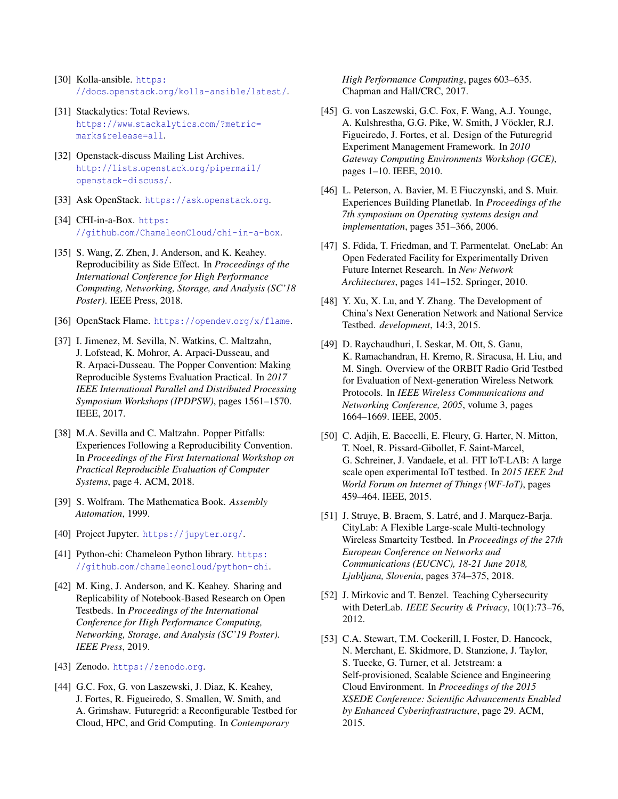- <span id="page-13-0"></span>[30] Kolla-ansible. [https:](https://docs.openstack.org/kolla-ansible/latest/) //docs.openstack.[org/kolla-ansible/latest/](https://docs.openstack.org/kolla-ansible/latest/).
- <span id="page-13-1"></span>[31] Stackalytics: Total Reviews. https://www.[stackalytics](https://www.stackalytics.com/?metric=marks&release=all).com/?metric= [marks&release=all](https://www.stackalytics.com/?metric=marks&release=all).
- <span id="page-13-2"></span>[32] Openstack-discuss Mailing List Archives. http://lists.openstack.[org/pipermail/](http://lists.openstack.org/pipermail/openstack-discuss/) [openstack-discuss/](http://lists.openstack.org/pipermail/openstack-discuss/).
- <span id="page-13-3"></span>[33] Ask OpenStack. [https://ask](https://ask.openstack.org).openstack.org.
- <span id="page-13-4"></span>[34] CHI-in-a-Box. [https:](https://github.com/ChameleonCloud/chi-in-a-box) //github.[com/ChameleonCloud/chi-in-a-box](https://github.com/ChameleonCloud/chi-in-a-box).
- <span id="page-13-5"></span>[35] S. Wang, Z. Zhen, J. Anderson, and K. Keahey. Reproducibility as Side Effect. In *Proceedings of the International Conference for High Performance Computing, Networking, Storage, and Analysis (SC'18 Poster)*. IEEE Press, 2018.
- <span id="page-13-6"></span>[36] OpenStack Flame. [https://opendev](https://opendev.org/x/flame).org/x/flame.
- <span id="page-13-7"></span>[37] I. Jimenez, M. Sevilla, N. Watkins, C. Maltzahn, J. Lofstead, K. Mohror, A. Arpaci-Dusseau, and R. Arpaci-Dusseau. The Popper Convention: Making Reproducible Systems Evaluation Practical. In *2017 IEEE International Parallel and Distributed Processing Symposium Workshops (IPDPSW)*, pages 1561–1570. IEEE, 2017.
- <span id="page-13-8"></span>[38] M.A. Sevilla and C. Maltzahn. Popper Pitfalls: Experiences Following a Reproducibility Convention. In *Proceedings of the First International Workshop on Practical Reproducible Evaluation of Computer Systems*, page 4. ACM, 2018.
- <span id="page-13-9"></span>[39] S. Wolfram. The Mathematica Book. *Assembly Automation*, 1999.
- <span id="page-13-10"></span>[40] Project Jupyter. [https://jupyter](https://jupyter.org/).org/.
- <span id="page-13-11"></span>[41] Python-chi: Chameleon Python library. [https:](https://github.com/chameleoncloud/python-chi) //github.[com/chameleoncloud/python-chi](https://github.com/chameleoncloud/python-chi).
- <span id="page-13-12"></span>[42] M. King, J. Anderson, and K. Keahey. Sharing and Replicability of Notebook-Based Research on Open Testbeds. In *Proceedings of the International Conference for High Performance Computing, Networking, Storage, and Analysis (SC'19 Poster). IEEE Press*, 2019.
- <span id="page-13-13"></span>[43] Zenodo. [https://zenodo](https://zenodo.org).org.
- <span id="page-13-14"></span>[44] G.C. Fox, G. von Laszewski, J. Diaz, K. Keahey, J. Fortes, R. Figueiredo, S. Smallen, W. Smith, and A. Grimshaw. Futuregrid: a Reconfigurable Testbed for Cloud, HPC, and Grid Computing. In *Contemporary*

*High Performance Computing*, pages 603–635. Chapman and Hall/CRC, 2017.

- <span id="page-13-15"></span>[45] G. von Laszewski, G.C. Fox, F. Wang, A.J. Younge, A. Kulshrestha, G.G. Pike, W. Smith, J Vöckler, R.J. Figueiredo, J. Fortes, et al. Design of the Futuregrid Experiment Management Framework. In *2010 Gateway Computing Environments Workshop (GCE)*, pages 1–10. IEEE, 2010.
- <span id="page-13-16"></span>[46] L. Peterson, A. Bavier, M. E Fiuczynski, and S. Muir. Experiences Building Planetlab. In *Proceedings of the 7th symposium on Operating systems design and implementation*, pages 351–366, 2006.
- <span id="page-13-17"></span>[47] S. Fdida, T. Friedman, and T. Parmentelat. OneLab: An Open Federated Facility for Experimentally Driven Future Internet Research. In *New Network Architectures*, pages 141–152. Springer, 2010.
- <span id="page-13-18"></span>[48] Y. Xu, X. Lu, and Y. Zhang. The Development of China's Next Generation Network and National Service Testbed. *development*, 14:3, 2015.
- <span id="page-13-19"></span>[49] D. Raychaudhuri, I. Seskar, M. Ott, S. Ganu, K. Ramachandran, H. Kremo, R. Siracusa, H. Liu, and M. Singh. Overview of the ORBIT Radio Grid Testbed for Evaluation of Next-generation Wireless Network Protocols. In *IEEE Wireless Communications and Networking Conference, 2005*, volume 3, pages 1664–1669. IEEE, 2005.
- <span id="page-13-20"></span>[50] C. Adjih, E. Baccelli, E. Fleury, G. Harter, N. Mitton, T. Noel, R. Pissard-Gibollet, F. Saint-Marcel, G. Schreiner, J. Vandaele, et al. FIT IoT-LAB: A large scale open experimental IoT testbed. In *2015 IEEE 2nd World Forum on Internet of Things (WF-IoT)*, pages 459–464. IEEE, 2015.
- <span id="page-13-21"></span>[51] J. Struye, B. Braem, S. Latré, and J. Marquez-Barja. CityLab: A Flexible Large-scale Multi-technology Wireless Smartcity Testbed. In *Proceedings of the 27th European Conference on Networks and Communications (EUCNC), 18-21 June 2018, Ljubljana, Slovenia*, pages 374–375, 2018.
- <span id="page-13-22"></span>[52] J. Mirkovic and T. Benzel. Teaching Cybersecurity with DeterLab. *IEEE Security & Privacy*, 10(1):73–76, 2012.
- <span id="page-13-23"></span>[53] C.A. Stewart, T.M. Cockerill, I. Foster, D. Hancock, N. Merchant, E. Skidmore, D. Stanzione, J. Taylor, S. Tuecke, G. Turner, et al. Jetstream: a Self-provisioned, Scalable Science and Engineering Cloud Environment. In *Proceedings of the 2015 XSEDE Conference: Scientific Advancements Enabled by Enhanced Cyberinfrastructure*, page 29. ACM, 2015.